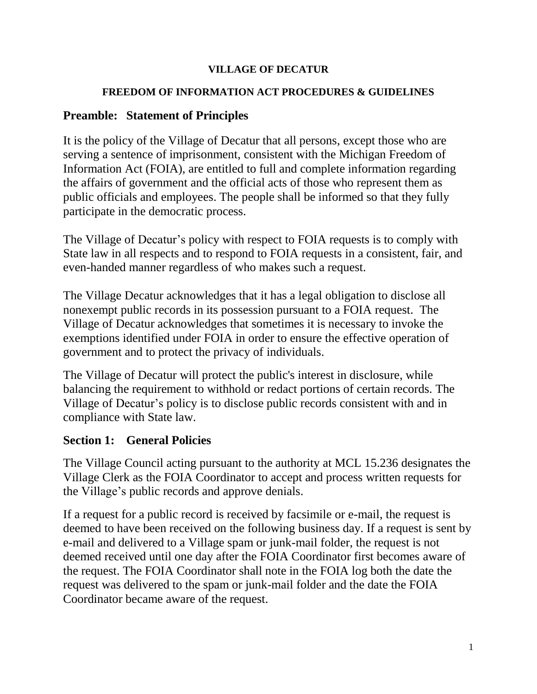#### **VILLAGE OF DECATUR**

#### **FREEDOM OF INFORMATION ACT PROCEDURES & GUIDELINES**

#### **Preamble: Statement of Principles**

It is the policy of the Village of Decatur that all persons, except those who are serving a sentence of imprisonment, consistent with the Michigan Freedom of Information Act (FOIA), are entitled to full and complete information regarding the affairs of government and the official acts of those who represent them as public officials and employees. The people shall be informed so that they fully participate in the democratic process.

The Village of Decatur's policy with respect to FOIA requests is to comply with State law in all respects and to respond to FOIA requests in a consistent, fair, and even-handed manner regardless of who makes such a request.

The Village Decatur acknowledges that it has a legal obligation to disclose all nonexempt public records in its possession pursuant to a FOIA request. The Village of Decatur acknowledges that sometimes it is necessary to invoke the exemptions identified under FOIA in order to ensure the effective operation of government and to protect the privacy of individuals.

The Village of Decatur will protect the public's interest in disclosure, while balancing the requirement to withhold or redact portions of certain records. The Village of Decatur's policy is to disclose public records consistent with and in compliance with State law.

## **Section 1: General Policies**

The Village Council acting pursuant to the authority at MCL 15.236 designates the Village Clerk as the FOIA Coordinator to accept and process written requests for the Village's public records and approve denials.

If a request for a public record is received by facsimile or e-mail, the request is deemed to have been received on the following business day. If a request is sent by e-mail and delivered to a Village spam or junk-mail folder, the request is not deemed received until one day after the FOIA Coordinator first becomes aware of the request. The FOIA Coordinator shall note in the FOIA log both the date the request was delivered to the spam or junk-mail folder and the date the FOIA Coordinator became aware of the request.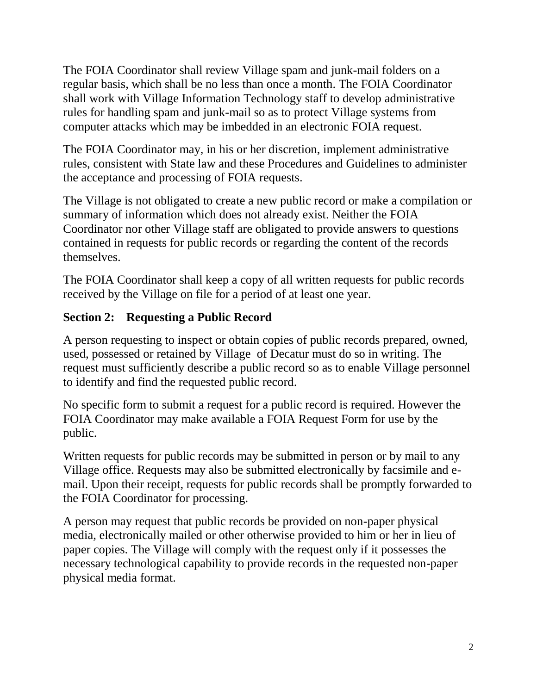The FOIA Coordinator shall review Village spam and junk-mail folders on a regular basis, which shall be no less than once a month. The FOIA Coordinator shall work with Village Information Technology staff to develop administrative rules for handling spam and junk-mail so as to protect Village systems from computer attacks which may be imbedded in an electronic FOIA request.

The FOIA Coordinator may, in his or her discretion, implement administrative rules, consistent with State law and these Procedures and Guidelines to administer the acceptance and processing of FOIA requests.

The Village is not obligated to create a new public record or make a compilation or summary of information which does not already exist. Neither the FOIA Coordinator nor other Village staff are obligated to provide answers to questions contained in requests for public records or regarding the content of the records themselves.

The FOIA Coordinator shall keep a copy of all written requests for public records received by the Village on file for a period of at least one year.

## **Section 2: Requesting a Public Record**

A person requesting to inspect or obtain copies of public records prepared, owned, used, possessed or retained by Village of Decatur must do so in writing. The request must sufficiently describe a public record so as to enable Village personnel to identify and find the requested public record.

No specific form to submit a request for a public record is required. However the FOIA Coordinator may make available a FOIA Request Form for use by the public.

Written requests for public records may be submitted in person or by mail to any Village office. Requests may also be submitted electronically by facsimile and email. Upon their receipt, requests for public records shall be promptly forwarded to the FOIA Coordinator for processing.

A person may request that public records be provided on non-paper physical media, electronically mailed or other otherwise provided to him or her in lieu of paper copies. The Village will comply with the request only if it possesses the necessary technological capability to provide records in the requested non-paper physical media format.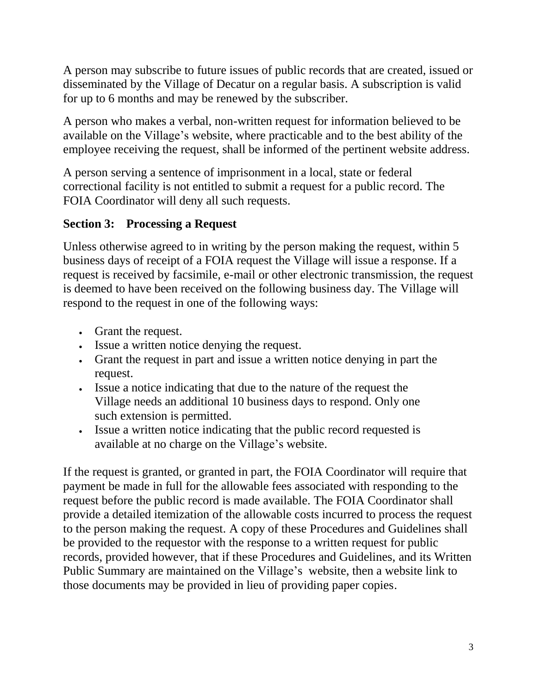A person may subscribe to future issues of public records that are created, issued or disseminated by the Village of Decatur on a regular basis. A subscription is valid for up to 6 months and may be renewed by the subscriber.

A person who makes a verbal, non-written request for information believed to be available on the Village's website, where practicable and to the best ability of the employee receiving the request, shall be informed of the pertinent website address.

A person serving a sentence of imprisonment in a local, state or federal correctional facility is not entitled to submit a request for a public record. The FOIA Coordinator will deny all such requests.

## **Section 3: Processing a Request**

Unless otherwise agreed to in writing by the person making the request, within 5 business days of receipt of a FOIA request the Village will issue a response. If a request is received by facsimile, e-mail or other electronic transmission, the request is deemed to have been received on the following business day. The Village will respond to the request in one of the following ways:

- Grant the request.
- Issue a written notice denying the request.
- Grant the request in part and issue a written notice denying in part the request.
- Issue a notice indicating that due to the nature of the request the Village needs an additional 10 business days to respond. Only one such extension is permitted.
- Issue a written notice indicating that the public record requested is available at no charge on the Village's website.

If the request is granted, or granted in part, the FOIA Coordinator will require that payment be made in full for the allowable fees associated with responding to the request before the public record is made available. The FOIA Coordinator shall provide a detailed itemization of the allowable costs incurred to process the request to the person making the request. A copy of these Procedures and Guidelines shall be provided to the requestor with the response to a written request for public records, provided however, that if these Procedures and Guidelines, and its Written Public Summary are maintained on the Village's website, then a website link to those documents may be provided in lieu of providing paper copies.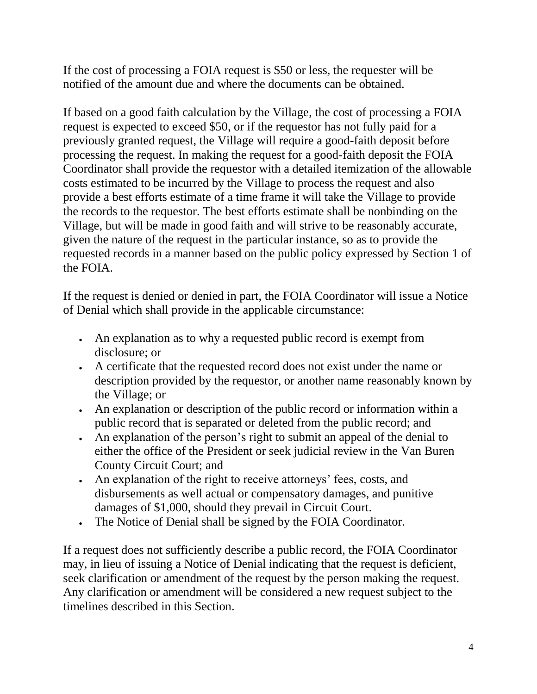If the cost of processing a FOIA request is \$50 or less, the requester will be notified of the amount due and where the documents can be obtained.

If based on a good faith calculation by the Village, the cost of processing a FOIA request is expected to exceed \$50, or if the requestor has not fully paid for a previously granted request, the Village will require a good-faith deposit before processing the request. In making the request for a good-faith deposit the FOIA Coordinator shall provide the requestor with a detailed itemization of the allowable costs estimated to be incurred by the Village to process the request and also provide a best efforts estimate of a time frame it will take the Village to provide the records to the requestor. The best efforts estimate shall be nonbinding on the Village, but will be made in good faith and will strive to be reasonably accurate, given the nature of the request in the particular instance, so as to provide the requested records in a manner based on the public policy expressed by Section 1 of the FOIA.

If the request is denied or denied in part, the FOIA Coordinator will issue a Notice of Denial which shall provide in the applicable circumstance:

- An explanation as to why a requested public record is exempt from disclosure; or
- A certificate that the requested record does not exist under the name or description provided by the requestor, or another name reasonably known by the Village; or
- An explanation or description of the public record or information within a public record that is separated or deleted from the public record; and
- An explanation of the person's right to submit an appeal of the denial to either the office of the President or seek judicial review in the Van Buren County Circuit Court; and
- An explanation of the right to receive attorneys' fees, costs, and disbursements as well actual or compensatory damages, and punitive damages of \$1,000, should they prevail in Circuit Court.
- The Notice of Denial shall be signed by the FOIA Coordinator.

If a request does not sufficiently describe a public record, the FOIA Coordinator may, in lieu of issuing a Notice of Denial indicating that the request is deficient, seek clarification or amendment of the request by the person making the request. Any clarification or amendment will be considered a new request subject to the timelines described in this Section.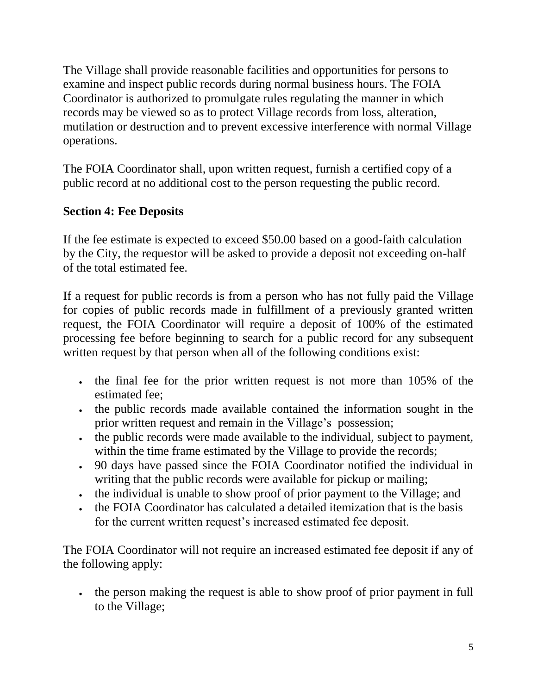The Village shall provide reasonable facilities and opportunities for persons to examine and inspect public records during normal business hours. The FOIA Coordinator is authorized to promulgate rules regulating the manner in which records may be viewed so as to protect Village records from loss, alteration, mutilation or destruction and to prevent excessive interference with normal Village operations.

The FOIA Coordinator shall, upon written request, furnish a certified copy of a public record at no additional cost to the person requesting the public record.

## **Section 4: Fee Deposits**

If the fee estimate is expected to exceed \$50.00 based on a good-faith calculation by the City, the requestor will be asked to provide a deposit not exceeding on-half of the total estimated fee.

If a request for public records is from a person who has not fully paid the Village for copies of public records made in fulfillment of a previously granted written request, the FOIA Coordinator will require a deposit of 100% of the estimated processing fee before beginning to search for a public record for any subsequent written request by that person when all of the following conditions exist:

- the final fee for the prior written request is not more than 105% of the estimated fee;
- the public records made available contained the information sought in the prior written request and remain in the Village's possession;
- the public records were made available to the individual, subject to payment, within the time frame estimated by the Village to provide the records;
- 90 days have passed since the FOIA Coordinator notified the individual in writing that the public records were available for pickup or mailing;
- the individual is unable to show proof of prior payment to the Village; and
- the FOIA Coordinator has calculated a detailed itemization that is the basis for the current written request's increased estimated fee deposit.

The FOIA Coordinator will not require an increased estimated fee deposit if any of the following apply:

the person making the request is able to show proof of prior payment in full to the Village;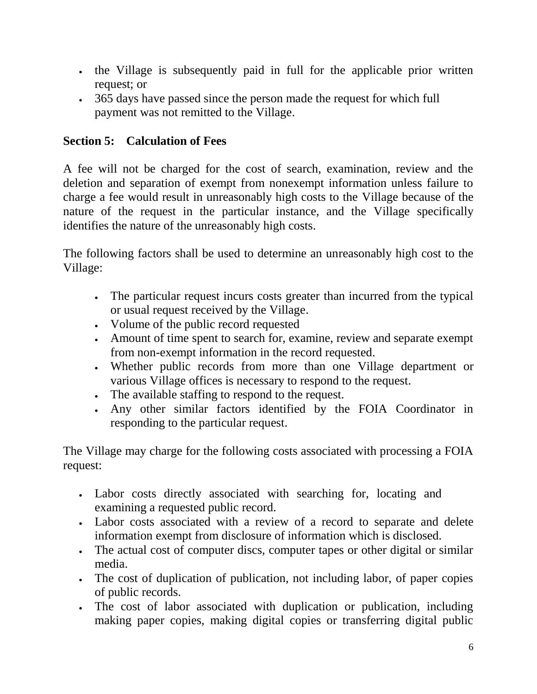- If the Village is subsequently paid in full for the applicable prior written request; or
- 365 days have passed since the person made the request for which full payment was not remitted to the Village.

# **Section 5: Calculation of Fees**

A fee will not be charged for the cost of search, examination, review and the deletion and separation of exempt from nonexempt information unless failure to charge a fee would result in unreasonably high costs to the Village because of the nature of the request in the particular instance, and the Village specifically identifies the nature of the unreasonably high costs.

The following factors shall be used to determine an unreasonably high cost to the Village:

- The particular request incurs costs greater than incurred from the typical or usual request received by the Village.
- Volume of the public record requested
- Amount of time spent to search for, examine, review and separate exempt from non-exempt information in the record requested.
- Whether public records from more than one Village department or various Village offices is necessary to respond to the request.
- The available staffing to respond to the request.
- Any other similar factors identified by the FOIA Coordinator in responding to the particular request.

The Village may charge for the following costs associated with processing a FOIA request:

- Labor costs directly associated with searching for, locating and examining a requested public record.
- Labor costs associated with a review of a record to separate and delete information exempt from disclosure of information which is disclosed.
- The actual cost of computer discs, computer tapes or other digital or similar media.
- The cost of duplication of publication, not including labor, of paper copies of public records.
- The cost of labor associated with duplication or publication, including making paper copies, making digital copies or transferring digital public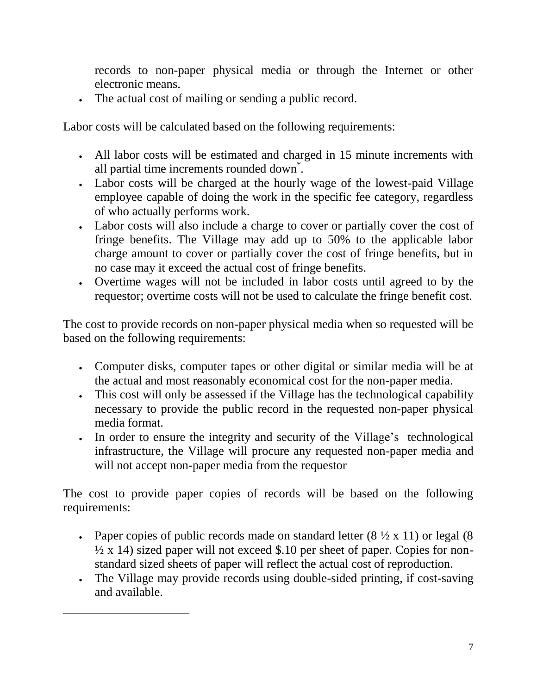records to non-paper physical media or through the Internet or other electronic means.

The actual cost of mailing or sending a public record.

Labor costs will be calculated based on the following requirements:

- All labor costs will be estimated and charged in 15 minute increments with all partial time increments rounded down<sup>\*</sup>.
- Labor costs will be charged at the hourly wage of the lowest-paid Village employee capable of doing the work in the specific fee category, regardless of who actually performs work.
- Labor costs will also include a charge to cover or partially cover the cost of fringe benefits. The Village may add up to 50% to the applicable labor charge amount to cover or partially cover the cost of fringe benefits, but in no case may it exceed the actual cost of fringe benefits.
- Overtime wages will not be included in labor costs until agreed to by the requestor; overtime costs will not be used to calculate the fringe benefit cost.

The cost to provide records on non-paper physical media when so requested will be based on the following requirements:

- Computer disks, computer tapes or other digital or similar media will be at the actual and most reasonably economical cost for the non-paper media.
- This cost will only be assessed if the Village has the technological capability necessary to provide the public record in the requested non-paper physical media format.
- In order to ensure the integrity and security of the Village's technological infrastructure, the Village will procure any requested non-paper media and will not accept non-paper media from the requestor

The cost to provide paper copies of records will be based on the following requirements:

- Paper copies of public records made on standard letter  $(8 \frac{1}{2} \times 11)$  or legal  $(8 \times 11)$  $\frac{1}{2}$  x 14) sized paper will not exceed \$.10 per sheet of paper. Copies for nonstandard sized sheets of paper will reflect the actual cost of reproduction.
- The Village may provide records using double-sided printing, if cost-saving and available.

 $\overline{a}$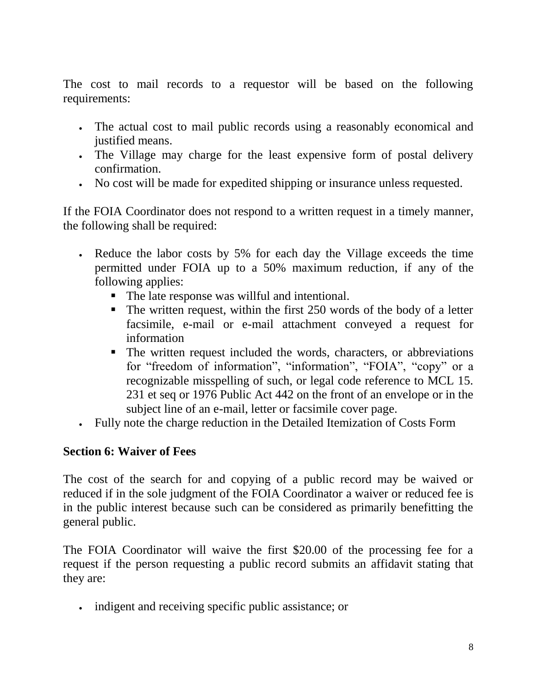The cost to mail records to a requestor will be based on the following requirements:

- The actual cost to mail public records using a reasonably economical and justified means.
- The Village may charge for the least expensive form of postal delivery confirmation.
- No cost will be made for expedited shipping or insurance unless requested.

If the FOIA Coordinator does not respond to a written request in a timely manner, the following shall be required:

- Reduce the labor costs by 5% for each day the Village exceeds the time permitted under FOIA up to a 50% maximum reduction, if any of the following applies:
	- The late response was willful and intentional.
	- $\blacksquare$  The written request, within the first 250 words of the body of a letter facsimile, e-mail or e-mail attachment conveyed a request for information
	- The written request included the words, characters, or abbreviations for "freedom of information", "information", "FOIA", "copy" or a recognizable misspelling of such, or legal code reference to MCL 15. 231 et seq or 1976 Public Act 442 on the front of an envelope or in the subject line of an e-mail, letter or facsimile cover page.
- Fully note the charge reduction in the Detailed Itemization of Costs Form

## **Section 6: Waiver of Fees**

The cost of the search for and copying of a public record may be waived or reduced if in the sole judgment of the FOIA Coordinator a waiver or reduced fee is in the public interest because such can be considered as primarily benefitting the general public.

The FOIA Coordinator will waive the first \$20.00 of the processing fee for a request if the person requesting a public record submits an affidavit stating that they are:

indigent and receiving specific public assistance; or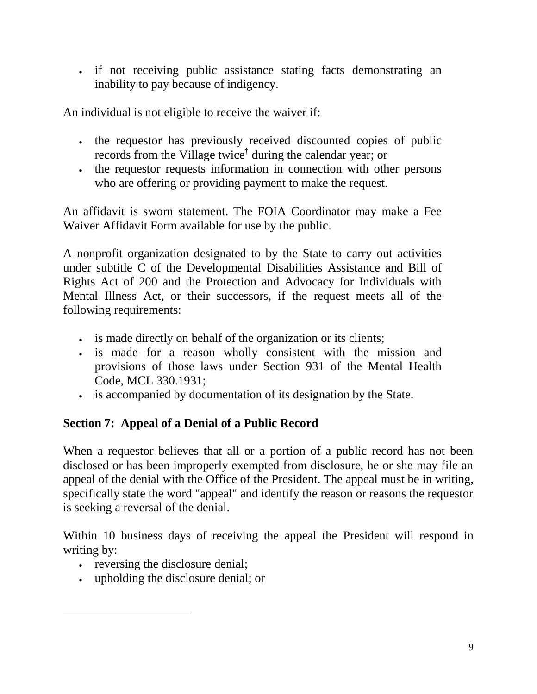if not receiving public assistance stating facts demonstrating an inability to pay because of indigency.

An individual is not eligible to receive the waiver if:

- the requestor has previously received discounted copies of public records from the Village twice† during the calendar year; or
- the requestor requests information in connection with other persons who are offering or providing payment to make the request.

An affidavit is sworn statement. The FOIA Coordinator may make a Fee Waiver Affidavit Form available for use by the public.

A nonprofit organization designated to by the State to carry out activities under subtitle C of the Developmental Disabilities Assistance and Bill of Rights Act of 200 and the Protection and Advocacy for Individuals with Mental Illness Act, or their successors, if the request meets all of the following requirements:

- is made directly on behalf of the organization or its clients;
- is made for a reason wholly consistent with the mission and provisions of those laws under Section 931 of the Mental Health Code, MCL 330.1931;
- is accompanied by documentation of its designation by the State.

## **Section 7: Appeal of a Denial of a Public Record**

When a requestor believes that all or a portion of a public record has not been disclosed or has been improperly exempted from disclosure, he or she may file an appeal of the denial with the Office of the President. The appeal must be in writing, specifically state the word "appeal" and identify the reason or reasons the requestor is seeking a reversal of the denial.

Within 10 business days of receiving the appeal the President will respond in writing by:

• reversing the disclosure denial;

 $\overline{a}$ 

upholding the disclosure denial; or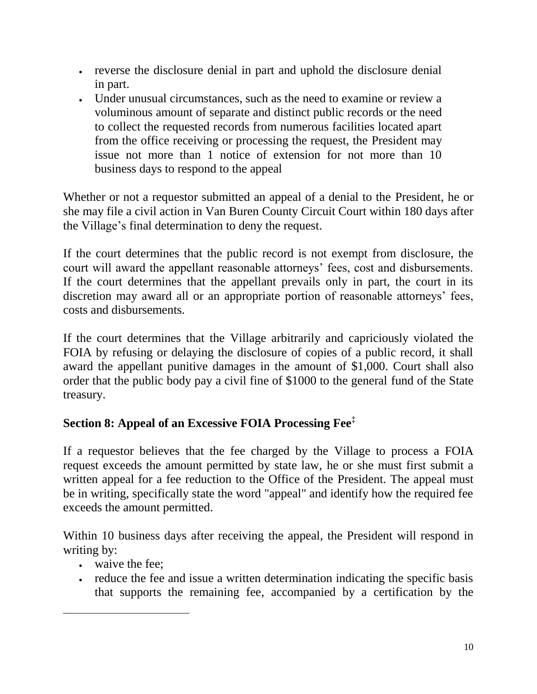- reverse the disclosure denial in part and uphold the disclosure denial in part.
- Under unusual circumstances, such as the need to examine or review a voluminous amount of separate and distinct public records or the need to collect the requested records from numerous facilities located apart from the office receiving or processing the request, the President may issue not more than 1 notice of extension for not more than 10 business days to respond to the appeal

Whether or not a requestor submitted an appeal of a denial to the President, he or she may file a civil action in Van Buren County Circuit Court within 180 days after the Village's final determination to deny the request.

If the court determines that the public record is not exempt from disclosure, the court will award the appellant reasonable attorneys' fees, cost and disbursements. If the court determines that the appellant prevails only in part, the court in its discretion may award all or an appropriate portion of reasonable attorneys' fees, costs and disbursements.

If the court determines that the Village arbitrarily and capriciously violated the FOIA by refusing or delaying the disclosure of copies of a public record, it shall award the appellant punitive damages in the amount of \$1,000. Court shall also order that the public body pay a civil fine of \$1000 to the general fund of the State treasury.

# **Section 8: Appeal of an Excessive FOIA Processing Fee‡**

If a requestor believes that the fee charged by the Village to process a FOIA request exceeds the amount permitted by state law, he or she must first submit a written appeal for a fee reduction to the Office of the President. The appeal must be in writing, specifically state the word "appeal" and identify how the required fee exceeds the amount permitted.

Within 10 business days after receiving the appeal, the President will respond in writing by:

waive the fee;

 $\overline{a}$ 

• reduce the fee and issue a written determination indicating the specific basis that supports the remaining fee, accompanied by a certification by the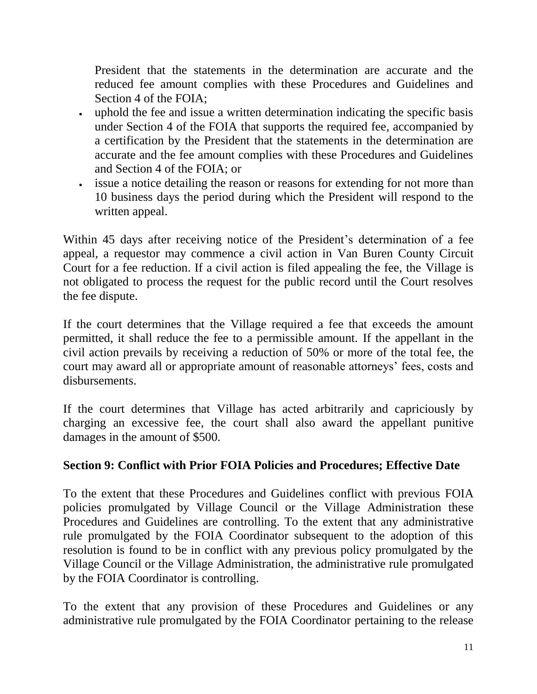President that the statements in the determination are accurate and the reduced fee amount complies with these Procedures and Guidelines and Section 4 of the FOIA;

- uphold the fee and issue a written determination indicating the specific basis under Section 4 of the FOIA that supports the required fee, accompanied by a certification by the President that the statements in the determination are accurate and the fee amount complies with these Procedures and Guidelines and Section 4 of the FOIA; or
- issue a notice detailing the reason or reasons for extending for not more than 10 business days the period during which the President will respond to the written appeal.

Within 45 days after receiving notice of the President's determination of a fee appeal, a requestor may commence a civil action in Van Buren County Circuit Court for a fee reduction. If a civil action is filed appealing the fee, the Village is not obligated to process the request for the public record until the Court resolves the fee dispute.

If the court determines that the Village required a fee that exceeds the amount permitted, it shall reduce the fee to a permissible amount. If the appellant in the civil action prevails by receiving a reduction of 50% or more of the total fee, the court may award all or appropriate amount of reasonable attorneys' fees, costs and disbursements.

If the court determines that Village has acted arbitrarily and capriciously by charging an excessive fee, the court shall also award the appellant punitive damages in the amount of \$500.

## **Section 9: Conflict with Prior FOIA Policies and Procedures; Effective Date**

To the extent that these Procedures and Guidelines conflict with previous FOIA policies promulgated by Village Council or the Village Administration these Procedures and Guidelines are controlling. To the extent that any administrative rule promulgated by the FOIA Coordinator subsequent to the adoption of this resolution is found to be in conflict with any previous policy promulgated by the Village Council or the Village Administration, the administrative rule promulgated by the FOIA Coordinator is controlling.

To the extent that any provision of these Procedures and Guidelines or any administrative rule promulgated by the FOIA Coordinator pertaining to the release